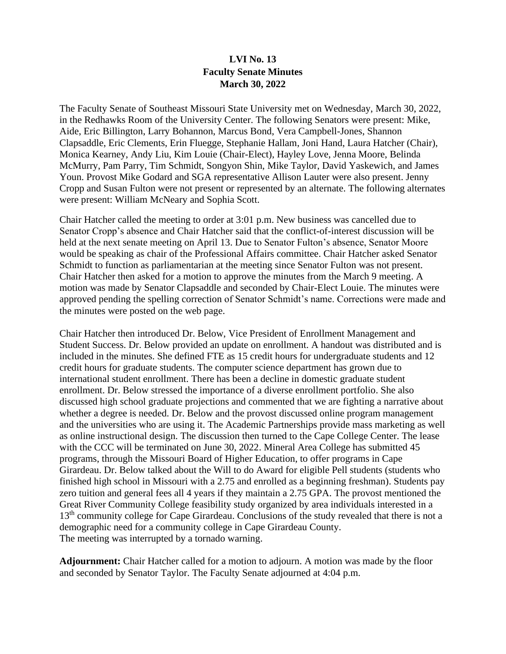## **LVI No. 13 Faculty Senate Minutes March 30, 2022**

The Faculty Senate of Southeast Missouri State University met on Wednesday, March 30, 2022, in the Redhawks Room of the University Center. The following Senators were present: Mike, Aide, Eric Billington, Larry Bohannon, Marcus Bond, Vera Campbell-Jones, Shannon Clapsaddle, Eric Clements, Erin Fluegge, Stephanie Hallam, Joni Hand, Laura Hatcher (Chair), Monica Kearney, Andy Liu, Kim Louie (Chair-Elect), Hayley Love, Jenna Moore, Belinda McMurry, Pam Parry, Tim Schmidt, Songyon Shin, Mike Taylor, David Yaskewich, and James Youn. Provost Mike Godard and SGA representative Allison Lauter were also present. Jenny Cropp and Susan Fulton were not present or represented by an alternate. The following alternates were present: William McNeary and Sophia Scott.

Chair Hatcher called the meeting to order at 3:01 p.m. New business was cancelled due to Senator Cropp's absence and Chair Hatcher said that the conflict-of-interest discussion will be held at the next senate meeting on April 13. Due to Senator Fulton's absence, Senator Moore would be speaking as chair of the Professional Affairs committee. Chair Hatcher asked Senator Schmidt to function as parliamentarian at the meeting since Senator Fulton was not present. Chair Hatcher then asked for a motion to approve the minutes from the March 9 meeting. A motion was made by Senator Clapsaddle and seconded by Chair-Elect Louie. The minutes were approved pending the spelling correction of Senator Schmidt's name. Corrections were made and the minutes were posted on the web page.

Chair Hatcher then introduced Dr. Below, Vice President of Enrollment Management and Student Success. Dr. Below provided an update on enrollment. A handout was distributed and is included in the minutes. She defined FTE as 15 credit hours for undergraduate students and 12 credit hours for graduate students. The computer science department has grown due to international student enrollment. There has been a decline in domestic graduate student enrollment. Dr. Below stressed the importance of a diverse enrollment portfolio. She also discussed high school graduate projections and commented that we are fighting a narrative about whether a degree is needed. Dr. Below and the provost discussed online program management and the universities who are using it. The Academic Partnerships provide mass marketing as well as online instructional design. The discussion then turned to the Cape College Center. The lease with the CCC will be terminated on June 30, 2022. Mineral Area College has submitted 45 programs, through the Missouri Board of Higher Education, to offer programs in Cape Girardeau. Dr. Below talked about the Will to do Award for eligible Pell students (students who finished high school in Missouri with a 2.75 and enrolled as a beginning freshman). Students pay zero tuition and general fees all 4 years if they maintain a 2.75 GPA. The provost mentioned the Great River Community College feasibility study organized by area individuals interested in a 13<sup>th</sup> community college for Cape Girardeau. Conclusions of the study revealed that there is not a demographic need for a community college in Cape Girardeau County. The meeting was interrupted by a tornado warning.

**Adjournment:** Chair Hatcher called for a motion to adjourn. A motion was made by the floor and seconded by Senator Taylor. The Faculty Senate adjourned at 4:04 p.m.